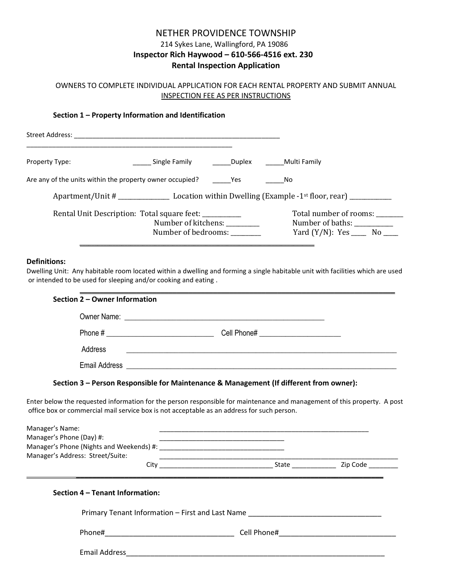# NETHER PROVIDENCE TOWNSHIP 214 Sykes Lane, Wallingford, PA 19086 **Inspector Rich Haywood – 610-566-4516 ext. 230 Rental Inspection Application**

## OWNERS TO COMPLETE INDIVIDUAL APPLICATION FOR EACH RENTAL PROPERTY AND SUBMIT ANNUAL INSPECTION FEE AS PER INSTRUCTIONS

### **Section 1 – Property Information and Identification**

| Street Address:                                          |                                                                                                      |                 |                                                                                     |  |
|----------------------------------------------------------|------------------------------------------------------------------------------------------------------|-----------------|-------------------------------------------------------------------------------------|--|
| <b>Property Type:</b>                                    | Single Family <b>Duplex</b> Multi Family                                                             |                 |                                                                                     |  |
| Are any of the units within the property owner occupied? |                                                                                                      | <b>Property</b> | No.                                                                                 |  |
|                                                          |                                                                                                      |                 |                                                                                     |  |
|                                                          | Rental Unit Description: Total square feet: __________<br>Number of kitchens:<br>Number of bedrooms: |                 | Total number of rooms:<br>Number of baths:<br>Yard $(Y/N)$ : Yes ________ No ______ |  |

#### **Definitions:**

Dwelling Unit: Any habitable room located within a dwelling and forming a single habitable unit with facilities which are used or intended to be used for sleeping and/or cooking and eating .

\_\_\_\_\_\_\_\_\_\_\_\_\_\_\_\_\_\_\_\_\_\_\_\_\_\_\_\_\_\_\_\_\_\_\_\_\_\_\_\_\_\_\_\_\_\_\_\_\_\_\_\_\_\_\_\_\_\_\_\_\_\_\_\_\_\_\_\_\_\_\_\_\_\_\_\_\_\_

| Section 2 - Owner Information |                                                              |                                 |                                                                                                                                                                                                                                                                                                                                                                                                                                                                                                                                                                                                                                              |
|-------------------------------|--------------------------------------------------------------|---------------------------------|----------------------------------------------------------------------------------------------------------------------------------------------------------------------------------------------------------------------------------------------------------------------------------------------------------------------------------------------------------------------------------------------------------------------------------------------------------------------------------------------------------------------------------------------------------------------------------------------------------------------------------------------|
|                               |                                                              |                                 |                                                                                                                                                                                                                                                                                                                                                                                                                                                                                                                                                                                                                                              |
|                               |                                                              |                                 |                                                                                                                                                                                                                                                                                                                                                                                                                                                                                                                                                                                                                                              |
| Address                       |                                                              |                                 |                                                                                                                                                                                                                                                                                                                                                                                                                                                                                                                                                                                                                                              |
|                               |                                                              |                                 |                                                                                                                                                                                                                                                                                                                                                                                                                                                                                                                                                                                                                                              |
|                               |                                                              |                                 |                                                                                                                                                                                                                                                                                                                                                                                                                                                                                                                                                                                                                                              |
| Manager's Name:               |                                                              |                                 |                                                                                                                                                                                                                                                                                                                                                                                                                                                                                                                                                                                                                                              |
|                               |                                                              |                                 |                                                                                                                                                                                                                                                                                                                                                                                                                                                                                                                                                                                                                                              |
|                               |                                                              |                                 |                                                                                                                                                                                                                                                                                                                                                                                                                                                                                                                                                                                                                                              |
|                               |                                                              |                                 |                                                                                                                                                                                                                                                                                                                                                                                                                                                                                                                                                                                                                                              |
|                               | Manager's Phone (Day) #:<br>Manager's Address: Street/Suite: | Section 4 - Tenant Information: | <u> 1990 - John Harry Harry Harry Harry Harry Harry Harry Harry Harry Harry Harry Harry Harry Harry Harry Harry Harry Harry Harry Harry Harry Harry Harry Harry Harry Harry Harry Harry Harry Harry Harry Harry Harry Harry Harr</u><br>Section 3 - Person Responsible for Maintenance & Management (If different from owner):<br>Enter below the requested information for the person responsible for maintenance and management of this property. A post<br>office box or commercial mail service box is not acceptable as an address for such person.<br>Primary Tenant Information - First and Last Name _______________________________ |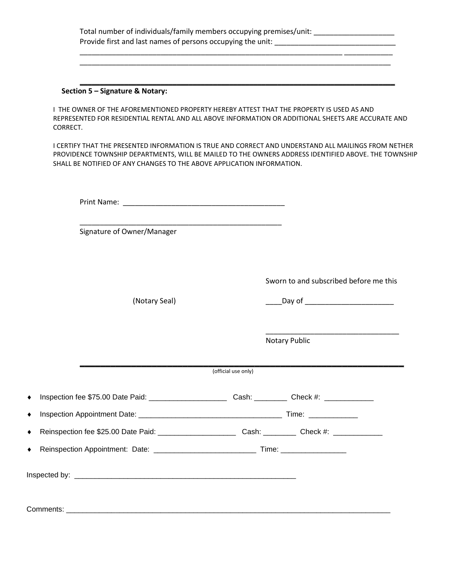|          | Section 5 - Signature & Notary:                                                                                                                                                                                                                                                        |                     |                                        |  |  |
|----------|----------------------------------------------------------------------------------------------------------------------------------------------------------------------------------------------------------------------------------------------------------------------------------------|---------------------|----------------------------------------|--|--|
| CORRECT. | L THE OWNER OF THE AFOREMENTIONED PROPERTY HEREBY ATTEST THAT THE PROPERTY IS USED AS AND<br>REPRESENTED FOR RESIDENTIAL RENTAL AND ALL ABOVE INFORMATION OR ADDITIONAL SHEETS ARE ACCURATE AND                                                                                        |                     |                                        |  |  |
|          | I CERTIFY THAT THE PRESENTED INFORMATION IS TRUE AND CORRECT AND UNDERSTAND ALL MAILINGS FROM NETHER<br>PROVIDENCE TOWNSHIP DEPARTMENTS, WILL BE MAILED TO THE OWNERS ADDRESS IDENTIFIED ABOVE. THE TOWNSHIP<br>SHALL BE NOTIFIED OF ANY CHANGES TO THE ABOVE APPLICATION INFORMATION. |                     |                                        |  |  |
|          |                                                                                                                                                                                                                                                                                        |                     |                                        |  |  |
|          | Signature of Owner/Manager                                                                                                                                                                                                                                                             |                     |                                        |  |  |
|          |                                                                                                                                                                                                                                                                                        |                     | Sworn to and subscribed before me this |  |  |
|          | (Notary Seal)                                                                                                                                                                                                                                                                          |                     |                                        |  |  |
|          |                                                                                                                                                                                                                                                                                        |                     | Notary Public                          |  |  |
|          |                                                                                                                                                                                                                                                                                        | (official use only) |                                        |  |  |
|          |                                                                                                                                                                                                                                                                                        |                     |                                        |  |  |
|          |                                                                                                                                                                                                                                                                                        |                     |                                        |  |  |
|          |                                                                                                                                                                                                                                                                                        |                     |                                        |  |  |
|          |                                                                                                                                                                                                                                                                                        |                     |                                        |  |  |
|          |                                                                                                                                                                                                                                                                                        |                     |                                        |  |  |